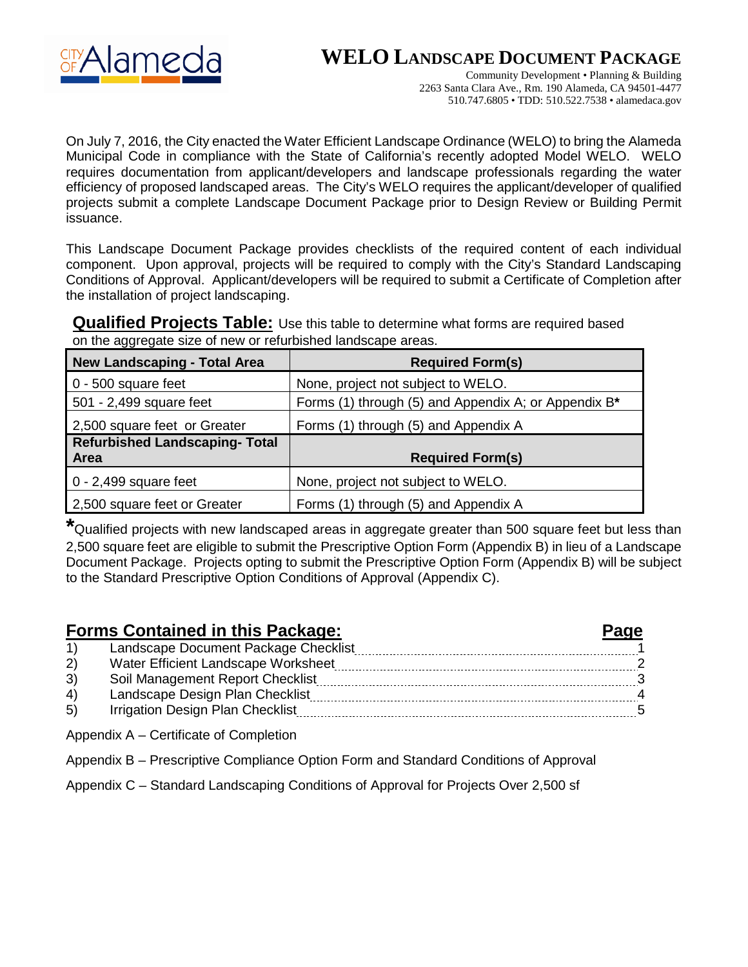**WELO LANDSCAPE DOCUMENT PACKAGE**



Community Development • Planning & Building 2263 Santa Clara Ave., Rm. 190 Alameda, CA 94501-4477 510.747.6805 • TDD: 510.522.7538 • alamedaca.gov

On July 7, 2016, the City enacted the Water Efficient Landscape Ordinance (WELO) to bring the Alameda Municipal Code in compliance with the State of California's recently adopted Model WELO. WELO requires documentation from applicant/developers and landscape professionals regarding the water efficiency of proposed landscaped areas. The City's WELO requires the applicant/developer of qualified projects submit a complete Landscape Document Package prior to Design Review or Building Permit issuance.

This Landscape Document Package provides checklists of the required content of each individual component. Upon approval, projects will be required to comply with the City's Standard Landscaping Conditions of Approval. Applicant/developers will be required to submit a Certificate of Completion after the installation of project landscaping.

**Qualified Projects Table:** Use this table to determine what forms are required based on the aggregate size of new or refurbished landscape areas.

| <b>New Landscaping - Total Area</b>           | <b>Required Form(s)</b>                              |
|-----------------------------------------------|------------------------------------------------------|
| 0 - 500 square feet                           | None, project not subject to WELO.                   |
| 501 - 2,499 square feet                       | Forms (1) through (5) and Appendix A; or Appendix B* |
| 2,500 square feet or Greater                  | Forms (1) through (5) and Appendix A                 |
| <b>Refurbished Landscaping- Total</b><br>Area | <b>Required Form(s)</b>                              |
| $0 - 2,499$ square feet                       | None, project not subject to WELO.                   |
| 2,500 square feet or Greater                  | Forms (1) through (5) and Appendix A                 |

**\***Qualified projects with new landscaped areas in aggregate greater than 500 square feet but less than 2,500 square feet are eligible to submit the Prescriptive Option Form (Appendix B) in lieu of a Landscape Document Package. Projects opting to submit the Prescriptive Option Form (Appendix B) will be subject to the Standard Prescriptive Option Conditions of Approval (Appendix C).

# **Forms Contained in this Package: Page**

|          | Landscape Document Package Checklist |  |
|----------|--------------------------------------|--|
|          | Water Efficient Landscape Worksheet  |  |
| 3)       | Soil Management Report Checklist     |  |
| $\Delta$ | Landscape Design Plan Checklist      |  |
| (5)      | Irrigation Design Plan Checklist     |  |

Appendix A – Certificate of Completion

Appendix B – Prescriptive Compliance Option Form and Standard Conditions of Approval

Appendix C – Standard Landscaping Conditions of Approval for Projects Over 2,500 sf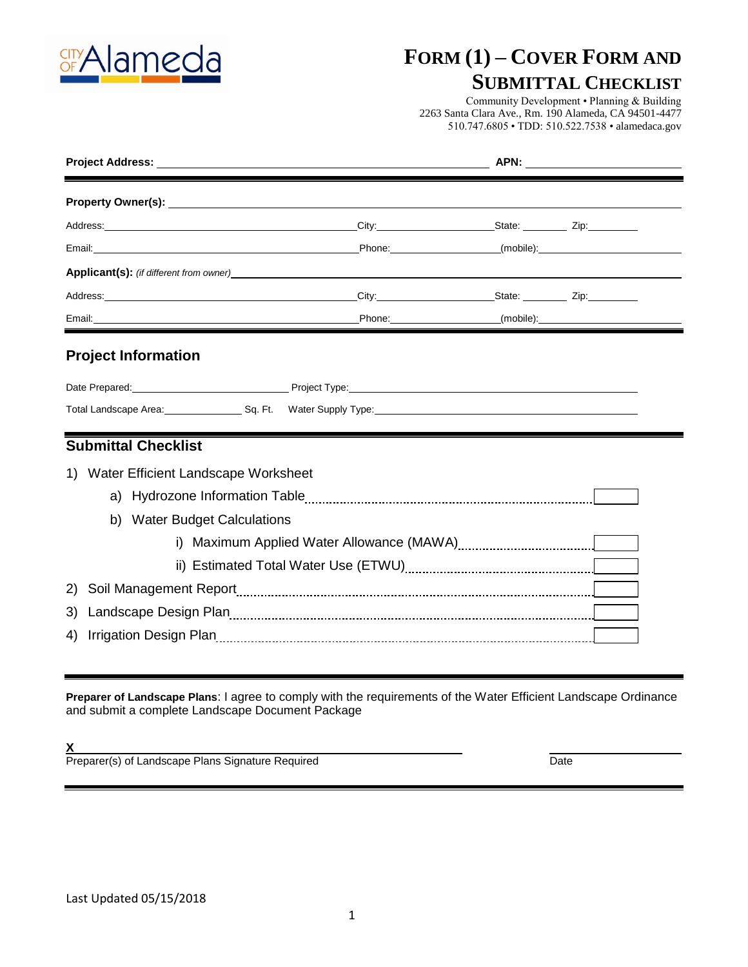

# **FORM (1) – COVER FORM AND**

### **SUBMITTAL CHECKLIST**

Community Development • Planning & Building 2263 Santa Clara Ave., Rm. 190 Alameda, CA 94501-4477 510.747.6805 • TDD: 510.522.7538 • alamedaca.gov

| <b>Applicant(s):</b> (if different from owner) example and a set of the set of the set of the set of the set of the set of the set of the set of the set of the set of the set of the set of the set of the set of the set of the s |  |  |  |  |  |
|-------------------------------------------------------------------------------------------------------------------------------------------------------------------------------------------------------------------------------------|--|--|--|--|--|
|                                                                                                                                                                                                                                     |  |  |  |  |  |
|                                                                                                                                                                                                                                     |  |  |  |  |  |
|                                                                                                                                                                                                                                     |  |  |  |  |  |
| <b>Submittal Checklist</b>                                                                                                                                                                                                          |  |  |  |  |  |
| 1) Water Efficient Landscape Worksheet                                                                                                                                                                                              |  |  |  |  |  |
|                                                                                                                                                                                                                                     |  |  |  |  |  |
| b) Water Budget Calculations                                                                                                                                                                                                        |  |  |  |  |  |
|                                                                                                                                                                                                                                     |  |  |  |  |  |
|                                                                                                                                                                                                                                     |  |  |  |  |  |
| 2)                                                                                                                                                                                                                                  |  |  |  |  |  |
| 3)                                                                                                                                                                                                                                  |  |  |  |  |  |
|                                                                                                                                                                                                                                     |  |  |  |  |  |

**Preparer of Landscape Plans**: I agree to comply with the requirements of the Water Efficient Landscape Ordinance and submit a complete Landscape Document Package

**X**

Preparer(s) of Landscape Plans Signature Required **Date Constructs Constructs** Date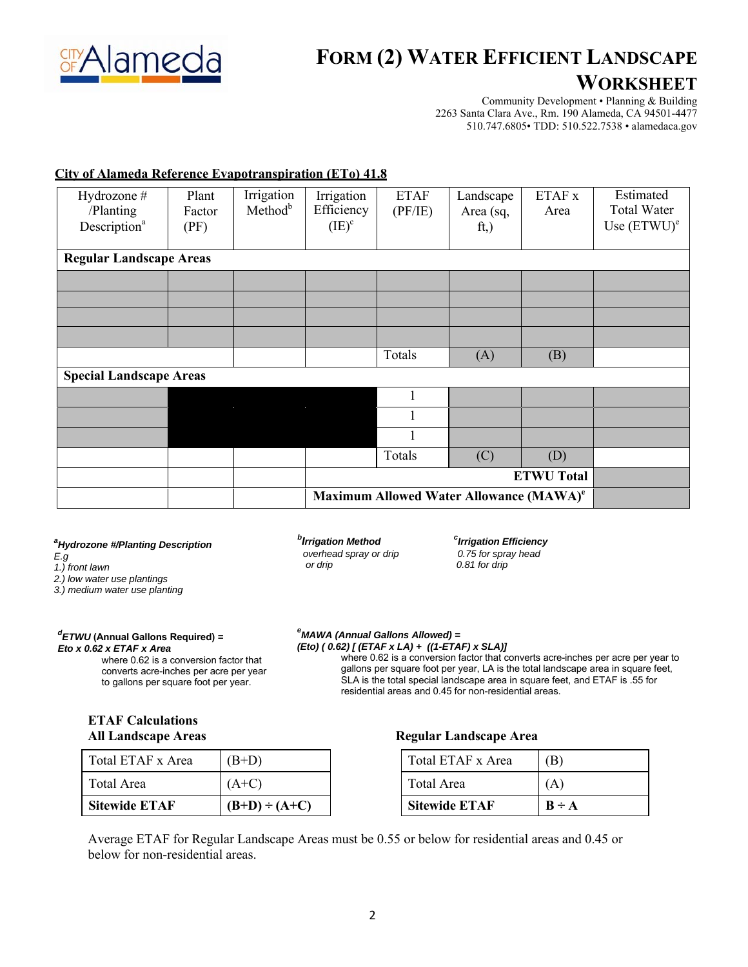

# **FORM (2) WATER EFFICIENT LANDSCAPE**

### **WORKSHEET**

Community Development • Planning & Building 2263 Santa Clara Ave., Rm. 190 Alameda, CA 94501-4477 510.747.6805• TDD: 510.522.7538 • alamedaca.gov

### **City of Alameda Reference Evapotranspiration (ETo) 41.8**

| Hydrozone #<br>/Planting<br>Description <sup>a</sup> | Plant<br>Factor<br>(PF) | Irrigation<br>Method <sup>b</sup> | Irrigation<br>Efficiency<br>$(IE)^c$ | <b>ETAF</b><br>(PF/IE) | Landscape<br>Area (sq,<br>ft,                       | ETAF x<br>Area    | Estimated<br><b>Total Water</b><br>Use $(ETWU)^e$ |
|------------------------------------------------------|-------------------------|-----------------------------------|--------------------------------------|------------------------|-----------------------------------------------------|-------------------|---------------------------------------------------|
| <b>Regular Landscape Areas</b>                       |                         |                                   |                                      |                        |                                                     |                   |                                                   |
|                                                      |                         |                                   |                                      |                        |                                                     |                   |                                                   |
|                                                      |                         |                                   |                                      |                        |                                                     |                   |                                                   |
|                                                      |                         |                                   |                                      |                        |                                                     |                   |                                                   |
|                                                      |                         |                                   |                                      |                        |                                                     |                   |                                                   |
|                                                      |                         |                                   |                                      | Totals                 | (A)                                                 | (B)               |                                                   |
| <b>Special Landscape Areas</b>                       |                         |                                   |                                      |                        |                                                     |                   |                                                   |
|                                                      |                         |                                   |                                      |                        |                                                     |                   |                                                   |
|                                                      |                         |                                   |                                      |                        |                                                     |                   |                                                   |
|                                                      |                         |                                   |                                      |                        |                                                     |                   |                                                   |
|                                                      |                         |                                   |                                      | Totals                 | (C)                                                 | (D)               |                                                   |
|                                                      |                         |                                   |                                      |                        |                                                     | <b>ETWU Total</b> |                                                   |
|                                                      |                         |                                   |                                      |                        | Maximum Allowed Water Allowance (MAWA) <sup>e</sup> |                   |                                                   |

#### *a Hydrozone #/Planting Description*

- *E.g*
- *1.) front lawn*
- *2.) low water use plantings*

*3.) medium water use planting*

#### *d ETWU* **(Annual Gallons Required)** *= Eto x 0.62 x ETAF x Area*

where 0.62 is a conversion factor that converts acre-inches per acre per year to gallons per square foot per year.

#### *b Irrigation Method <sup>c</sup> overhead spray or drip 0.75 for spray head or drip 0.81 for drip*

*Irrigation Efficiency*

#### *e MAWA (Annual Gallons Allowed) =*

*(Eto) ( 0.62) [ (ETAF x LA) + ((1-ETAF) x SLA)]* where 0.62 is a conversion factor that converts acre-inches per acre per year to gallons per square foot per year, LA is the total landscape area in square feet, SLA is the total special landscape area in square feet, and ETAF is .55 for residential areas and 0.45 for non-residential areas.

### **ETAF Calculations All Landscape Areas**

| <b>Sitewide ETAF</b> | $(B+D) \div (A+C)$ |
|----------------------|--------------------|
| Total Area           | $(A+C)$            |
| Total ETAF x Area    | $(B+D)$            |

| Total ETAF x Area    | (B)        |
|----------------------|------------|
| Total Area           | (A)        |
| <b>Sitewide ETAF</b> | $B \div A$ |

Average ETAF for Regular Landscape Areas must be 0.55 or below for residential areas and 0.45 or below for non-residential areas.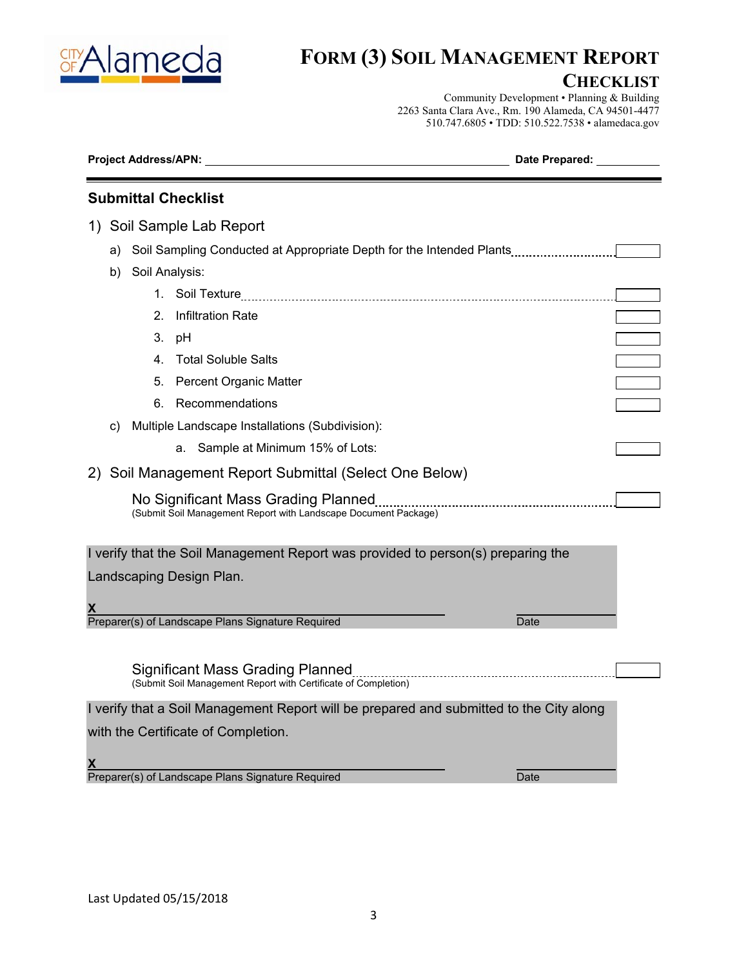

# **FORM (3) SOIL MANAGEMENT REPORT**

### **CHECKLIST**

Community Development • Planning & Building 2263 Santa Clara Ave., Rm. 190 Alameda, CA 94501-4477 510.747.6805 • TDD: 510.522.7538 • alamedaca.gov

| <b>Submittal Checklist</b><br>1) Soil Sample Lab Report<br>Soil Sampling Conducted at Appropriate Depth for the Intended Plants<br>a)<br>Soil Analysis:<br>b)<br><b>Infiltration Rate</b><br>2.<br>3.<br>рH<br>4. Total Soluble Salts<br>Percent Organic Matter<br>5.<br>Recommendations<br>6. | Project Address/APN: North Address and Apple Books and Apple Books and Apple Books and Apple Books and Apple Books and Apple Books and Apple Books and Apple Books and Apple Books and Apple Books and Apple Books and Apple B | Date Prepared: 1997 |
|------------------------------------------------------------------------------------------------------------------------------------------------------------------------------------------------------------------------------------------------------------------------------------------------|--------------------------------------------------------------------------------------------------------------------------------------------------------------------------------------------------------------------------------|---------------------|
|                                                                                                                                                                                                                                                                                                |                                                                                                                                                                                                                                |                     |
|                                                                                                                                                                                                                                                                                                |                                                                                                                                                                                                                                |                     |
|                                                                                                                                                                                                                                                                                                |                                                                                                                                                                                                                                |                     |
|                                                                                                                                                                                                                                                                                                |                                                                                                                                                                                                                                |                     |
|                                                                                                                                                                                                                                                                                                |                                                                                                                                                                                                                                |                     |
|                                                                                                                                                                                                                                                                                                |                                                                                                                                                                                                                                |                     |
|                                                                                                                                                                                                                                                                                                |                                                                                                                                                                                                                                |                     |
|                                                                                                                                                                                                                                                                                                |                                                                                                                                                                                                                                |                     |
|                                                                                                                                                                                                                                                                                                |                                                                                                                                                                                                                                |                     |
|                                                                                                                                                                                                                                                                                                |                                                                                                                                                                                                                                |                     |
| Multiple Landscape Installations (Subdivision):<br>C)                                                                                                                                                                                                                                          |                                                                                                                                                                                                                                |                     |
| Sample at Minimum 15% of Lots:<br>а.                                                                                                                                                                                                                                                           |                                                                                                                                                                                                                                |                     |
| 2) Soil Management Report Submittal (Select One Below)                                                                                                                                                                                                                                         |                                                                                                                                                                                                                                |                     |
| (Submit Soil Management Report with Landscape Document Package)                                                                                                                                                                                                                                |                                                                                                                                                                                                                                |                     |
| I verify that the Soil Management Report was provided to person(s) preparing the<br>Landscaping Design Plan.<br>Preparer(s) of Landscape Plans Signature Required<br>Date                                                                                                                      |                                                                                                                                                                                                                                |                     |
| Significant Mass Grading Planned<br>(Submit Soil Management Report with Certificate of Completion)                                                                                                                                                                                             |                                                                                                                                                                                                                                |                     |
| I verify that a Soil Management Report will be prepared and submitted to the City along                                                                                                                                                                                                        |                                                                                                                                                                                                                                |                     |
| with the Certificate of Completion.<br>X.<br>Preparer(s) of Landscape Plans Signature Required<br>Date                                                                                                                                                                                         |                                                                                                                                                                                                                                |                     |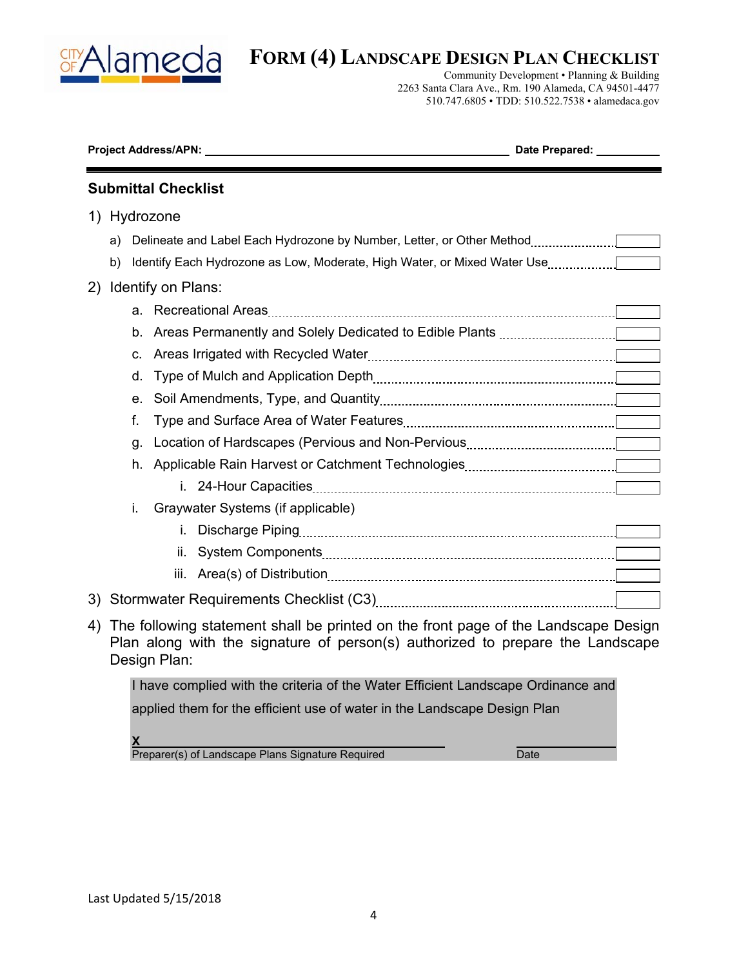

# **FORM (4) LANDSCAPE DESIGN PLAN CHECKLIST**

Community Development • Planning & Building 2263 Santa Clara Ave., Rm. 190 Alameda, CA 94501-4477 510.747.6805 • TDD: 510.522.7538 • alamedaca.gov

|    |              |    | <b>Submittal Checklist</b>                                                                                                                                                           |  |  |
|----|--------------|----|--------------------------------------------------------------------------------------------------------------------------------------------------------------------------------------|--|--|
|    | 1) Hydrozone |    |                                                                                                                                                                                      |  |  |
|    | a)           |    | Delineate and Label Each Hydrozone by Number, Letter, or Other Method [11, 11, 11, 11]                                                                                               |  |  |
|    | b)           |    |                                                                                                                                                                                      |  |  |
| 2) |              |    | Identify on Plans:                                                                                                                                                                   |  |  |
|    |              |    |                                                                                                                                                                                      |  |  |
|    |              | b. |                                                                                                                                                                                      |  |  |
|    |              | C. |                                                                                                                                                                                      |  |  |
|    |              | d. |                                                                                                                                                                                      |  |  |
|    |              | е. |                                                                                                                                                                                      |  |  |
|    |              | f. |                                                                                                                                                                                      |  |  |
|    |              | g. |                                                                                                                                                                                      |  |  |
|    |              | h. |                                                                                                                                                                                      |  |  |
|    |              |    |                                                                                                                                                                                      |  |  |
|    |              | i. | Graywater Systems (if applicable)                                                                                                                                                    |  |  |
|    |              |    | i.                                                                                                                                                                                   |  |  |
|    |              |    | ii.                                                                                                                                                                                  |  |  |
|    |              |    | iii.                                                                                                                                                                                 |  |  |
| 3) |              |    |                                                                                                                                                                                      |  |  |
| 4) |              |    | The following statement shall be printed on the front page of the Landscape Design<br>Plan along with the signature of person(s) authorized to prepare the Landscape<br>Design Plan: |  |  |

I have complied with the criteria of the Water Efficient Landscape Ordinance and applied them for the efficient use of water in the Landscape Design Plan

**X**  Preparer(s) of Landscape Plans Signature Required Date Date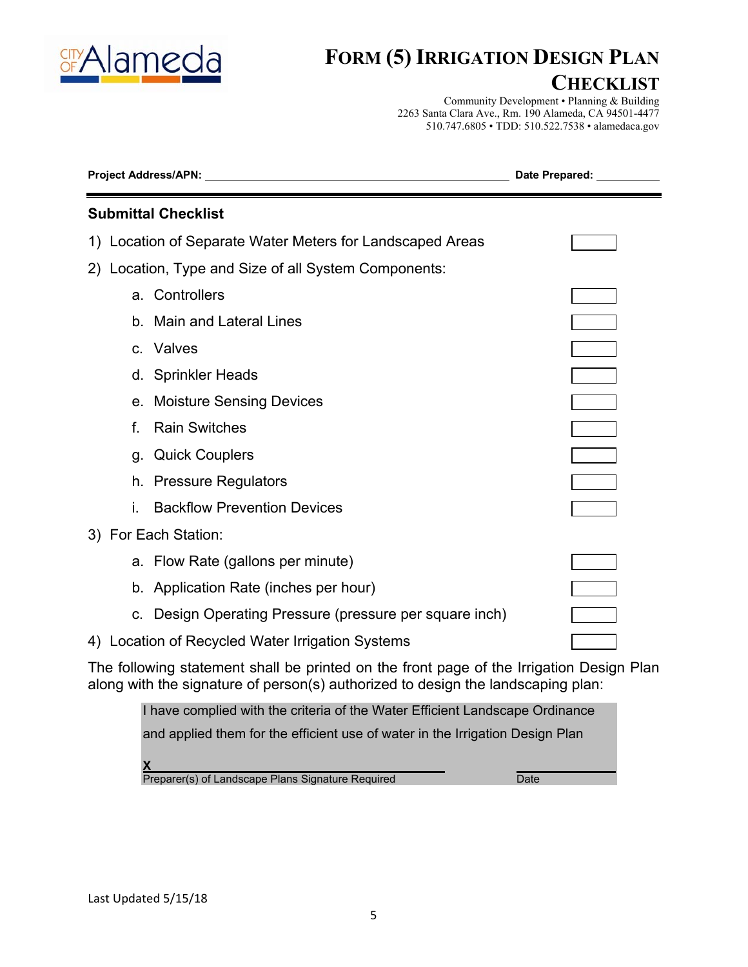

# **FORM (5) IRRIGATION DESIGN PLAN**

## **CHECKLIST**

Community Development • Planning & Building 2263 Santa Clara Ave., Rm. 190 Alameda, CA 94501-4477 510.747.6805 • TDD: 510.522.7538 • alamedaca.gov

| <b>Project Address/APN:</b>                                                                                                                                                  | Date Prepared: |  |  |  |  |
|------------------------------------------------------------------------------------------------------------------------------------------------------------------------------|----------------|--|--|--|--|
| <b>Submittal Checklist</b>                                                                                                                                                   |                |  |  |  |  |
| 1) Location of Separate Water Meters for Landscaped Areas                                                                                                                    |                |  |  |  |  |
| 2) Location, Type and Size of all System Components:                                                                                                                         |                |  |  |  |  |
| a. Controllers                                                                                                                                                               |                |  |  |  |  |
| b. Main and Lateral Lines                                                                                                                                                    |                |  |  |  |  |
| c. Valves                                                                                                                                                                    |                |  |  |  |  |
| d. Sprinkler Heads                                                                                                                                                           |                |  |  |  |  |
| e. Moisture Sensing Devices                                                                                                                                                  |                |  |  |  |  |
| <b>Rain Switches</b><br>f.                                                                                                                                                   |                |  |  |  |  |
| g. Quick Couplers                                                                                                                                                            |                |  |  |  |  |
| h. Pressure Regulators                                                                                                                                                       |                |  |  |  |  |
| <b>Backflow Prevention Devices</b>                                                                                                                                           |                |  |  |  |  |
| 3) For Each Station:                                                                                                                                                         |                |  |  |  |  |
| a. Flow Rate (gallons per minute)                                                                                                                                            |                |  |  |  |  |
| b. Application Rate (inches per hour)                                                                                                                                        |                |  |  |  |  |
| c. Design Operating Pressure (pressure per square inch)                                                                                                                      |                |  |  |  |  |
| 4) Location of Recycled Water Irrigation Systems                                                                                                                             |                |  |  |  |  |
| The following statement shall be printed on the front page of the Irrigation Design Plan<br>along with the signature of person(s) authorized to design the landscaping plan: |                |  |  |  |  |
| I have complied with the criteria of the Water Efficient Landscape Ordinance                                                                                                 |                |  |  |  |  |

and applied them for the efficient use of water in the Irrigation Design Plan

**X**  Preparer(s) of Landscape Plans Signature Required Date Date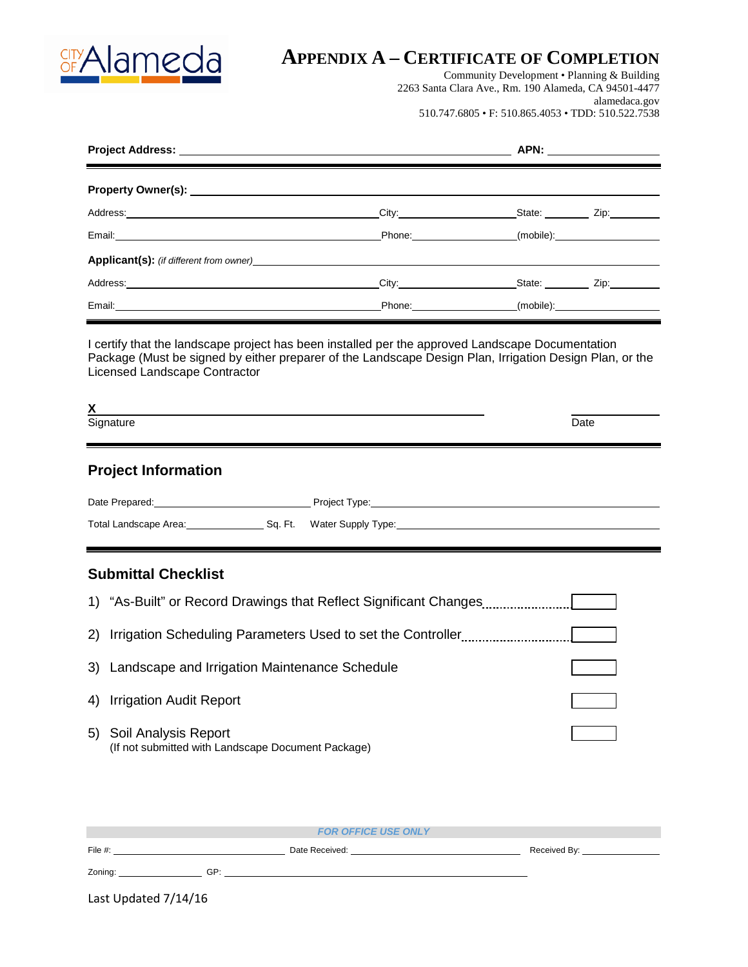

# **APPENDIX A – CERTIFICATE OF COMPLETION**

Community Development • Planning & Building 2263 Santa Clara Ave., Rm. 190 Alameda, CA 94501-4477 alamedaca.gov 510.747.6805 • F: 510.865.4053 • TDD: 510.522.7538

| <u> The Common Second Common Second Common Second Common Second Common Second Common Second Common Second Common Second</u> |                                                                                                                                                                                                                                |                                                                                                                                                                                                                                |           |
|-----------------------------------------------------------------------------------------------------------------------------|--------------------------------------------------------------------------------------------------------------------------------------------------------------------------------------------------------------------------------|--------------------------------------------------------------------------------------------------------------------------------------------------------------------------------------------------------------------------------|-----------|
|                                                                                                                             |                                                                                                                                                                                                                                |                                                                                                                                                                                                                                |           |
| Address: City:                                                                                                              |                                                                                                                                                                                                                                | State: <u>Channel</u> Zip:                                                                                                                                                                                                     |           |
|                                                                                                                             |                                                                                                                                                                                                                                | Phone: (mobile): (mobile): (mobile): (mobile): (mobile): (mobile): (mobile): (mobile): (mobile): (mobile): (mobile): (mobile): (mobile): (mobile): (mobile): (mobile): (mobile): (mobile): (mobile): (mobile): (mobile): (mobi |           |
| <b>Applicant(s):</b> (if different from owner) <b>Solution Example 2014</b>                                                 |                                                                                                                                                                                                                                |                                                                                                                                                                                                                                |           |
|                                                                                                                             | City: the contract of the contract of the contract of the contract of the contract of the contract of the contract of the contract of the contract of the contract of the contract of the contract of the contract of the cont | State: <u>Zip:</u>                                                                                                                                                                                                             |           |
|                                                                                                                             |                                                                                                                                                                                                                                |                                                                                                                                                                                                                                | (mobile): |

I certify that the landscape project has been installed per the approved Landscape Documentation Package (Must be signed by either preparer of the Landscape Design Plan, Irrigation Design Plan, or the Licensed Landscape Contractor

| $\mathbf{v}$<br>Y                         |      |
|-------------------------------------------|------|
| <b>.</b><br>Sianature<br><b>Signature</b> | Date |

### **Project Information**

| Date Prepared:        |         | Project Type:      |
|-----------------------|---------|--------------------|
| Total Landscape Area: | Sa. Ft. | Water Supply Type: |

### **Submittal Checklist**

|    | 1) "As-Built" or Record Drawings that Reflect Significant Changes          |  |
|----|----------------------------------------------------------------------------|--|
|    | 2) Irrigation Scheduling Parameters Used to set the Controller             |  |
|    | 3) Landscape and Irrigation Maintenance Schedule                           |  |
| 4) | <b>Irrigation Audit Report</b>                                             |  |
| 5) | Soil Analysis Report<br>(If not submitted with Landscape Document Package) |  |

|                      |                | <b>FOR OFFICE USE ONLY</b> |                                 |
|----------------------|----------------|----------------------------|---------------------------------|
| File #:              | Date Received: |                            | Received By: North Section 2014 |
| Zoning:              | GP:            |                            |                                 |
| Last Updated 7/14/16 |                |                            |                                 |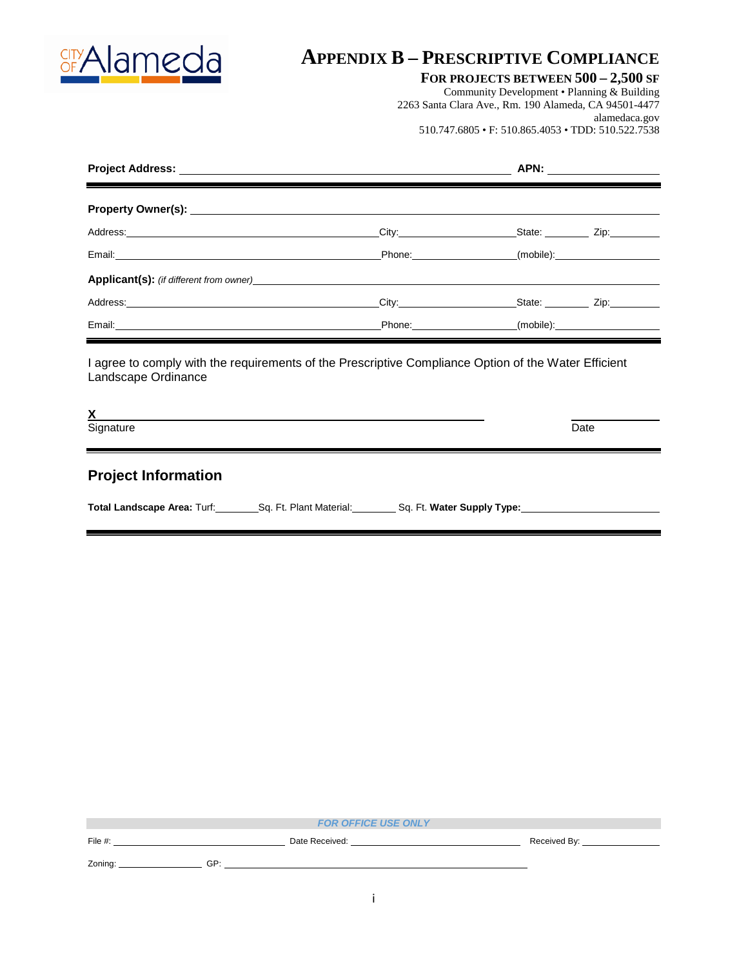

# **APPENDIX B – PRESCRIPTIVE COMPLIANCE**

### **FOR PROJECTS BETWEEN 500 – 2,500 SF**

Community Development • Planning & Building 2263 Santa Clara Ave., Rm. 190 Alameda, CA 94501-4477 alamedaca.gov 510.747.6805 • F: 510.865.4053 • TDD: 510.522.7538

| Address: City: Call Contract City: City: City: City: City: City: City: City: City: City: City: City: City: City: City: City: City: City: City: City: City: City: City: City: City: City: City: City: City: City: City: City: C |                                                                                                                                                                                                                                | State: <u>____________</u> Zip: _________ |  |  |
|--------------------------------------------------------------------------------------------------------------------------------------------------------------------------------------------------------------------------------|--------------------------------------------------------------------------------------------------------------------------------------------------------------------------------------------------------------------------------|-------------------------------------------|--|--|
|                                                                                                                                                                                                                                | Phone: (mobile): (mobile):                                                                                                                                                                                                     |                                           |  |  |
| <b>Applicant(s):</b> (if different from owner) <b>Example 2014</b>                                                                                                                                                             |                                                                                                                                                                                                                                |                                           |  |  |
|                                                                                                                                                                                                                                | City: the contract of the contract of the contract of the contract of the contract of the contract of the contract of the contract of the contract of the contract of the contract of the contract of the contract of the cont | State: Zip:                               |  |  |
|                                                                                                                                                                                                                                | Phone: the contract of the contract of the contract of the contract of the contract of the contract of the contract of the contract of the contract of the contract of the contract of the contract of the contract of the con | (mobile):                                 |  |  |

I agree to comply with the requirements of the Prescriptive Compliance Option of the Water Efficient Landscape Ordinance

Signature Signature Date **Date of the Contract of the Contract of the Contract of the Contract of the D**ate Date of the Date

**Project Information**

Total Landscape Area: Turf: Sq. Ft. Plant Material: Sq. Ft. Water Supply Type:

|            |                | <b>FOR OFFICE USE ONLY</b> |              |
|------------|----------------|----------------------------|--------------|
| File $#$ : | Date Received: |                            | Received By: |
| Zoning:    | GP:            |                            |              |
|            |                |                            |              |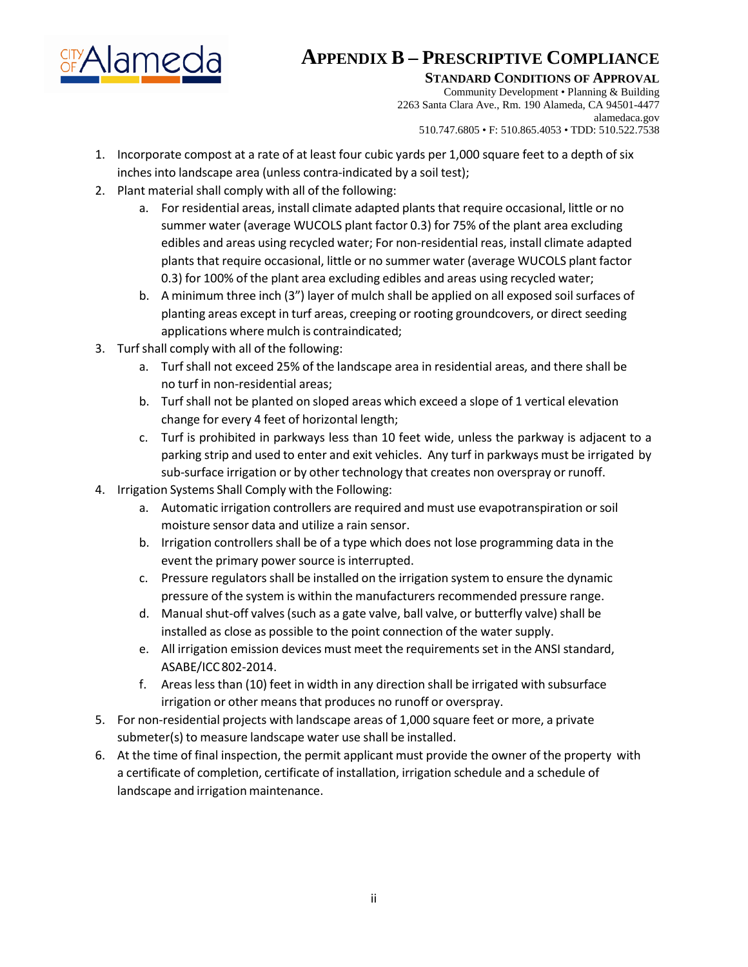

# **APPENDIX B – PRESCRIPTIVE COMPLIANCE**

**STANDARD CONDITIONS OF APPROVAL** 

Community Development • Planning & Building 2263 Santa Clara Ave., Rm. 190 Alameda, CA 94501-4477 alamedaca.gov 510.747.6805 • F: 510.865.4053 • TDD: 510.522.7538

- 1. Incorporate compost at a rate of at least four cubic yards per 1,000 square feet to a depth of six inches into landscape area (unless contra-indicated by a soil test);
- 2. Plant material shall comply with all of the following:
	- a. For residential areas, install climate adapted plants that require occasional, little or no summer water (average WUCOLS plant factor 0.3) for 75% of the plant area excluding edibles and areas using recycled water; For non-residential reas, install climate adapted plants that require occasional, little or no summer water (average WUCOLS plant factor 0.3) for 100% of the plant area excluding edibles and areas using recycled water;
	- b. A minimum three inch (3") layer of mulch shall be applied on all exposed soil surfaces of planting areas except in turf areas, creeping or rooting groundcovers, or direct seeding applications where mulch is contraindicated;
- 3. Turf shall comply with all of the following:
	- a. Turfshall not exceed 25% of the landscape area in residential areas, and there shall be no turf in non‐residential areas;
	- b. Turfshall not be planted on sloped areas which exceed a slope of 1 vertical elevation change for every 4 feet of horizontal length;
	- c. Turf is prohibited in parkways less than 10 feet wide, unless the parkway is adjacent to a parking strip and used to enter and exit vehicles. Any turf in parkways must be irrigated by sub-surface irrigation or by other technology that creates non overspray or runoff.
- 4. Irrigation Systems Shall Comply with the Following:
	- a. Automatic irrigation controllers are required and must use evapotranspiration orsoil moisture sensor data and utilize a rain sensor.
	- b. Irrigation controllers shall be of a type which does not lose programming data in the event the primary power source is interrupted.
	- c. Pressure regulators shall be installed on the irrigation system to ensure the dynamic pressure of the system is within the manufacturers recommended pressure range.
	- d. Manual shut‐off valves(such as a gate valve, ball valve, or butterfly valve) shall be installed as close as possible to the point connection of the water supply.
	- e. All irrigation emission devices must meet the requirements set in the ANSI standard, ASABE/ICC802‐2014.
	- f. Areas less than (10) feet in width in any direction shall be irrigated with subsurface irrigation or other means that produces no runoff or overspray.
- 5. For non-residential projects with landscape areas of 1,000 square feet or more, a private submeter(s) to measure landscape water use shall be installed.
- 6. At the time of final inspection, the permit applicant must provide the owner of the property with a certificate of completion, certificate of installation, irrigation schedule and a schedule of landscape and irrigation maintenance.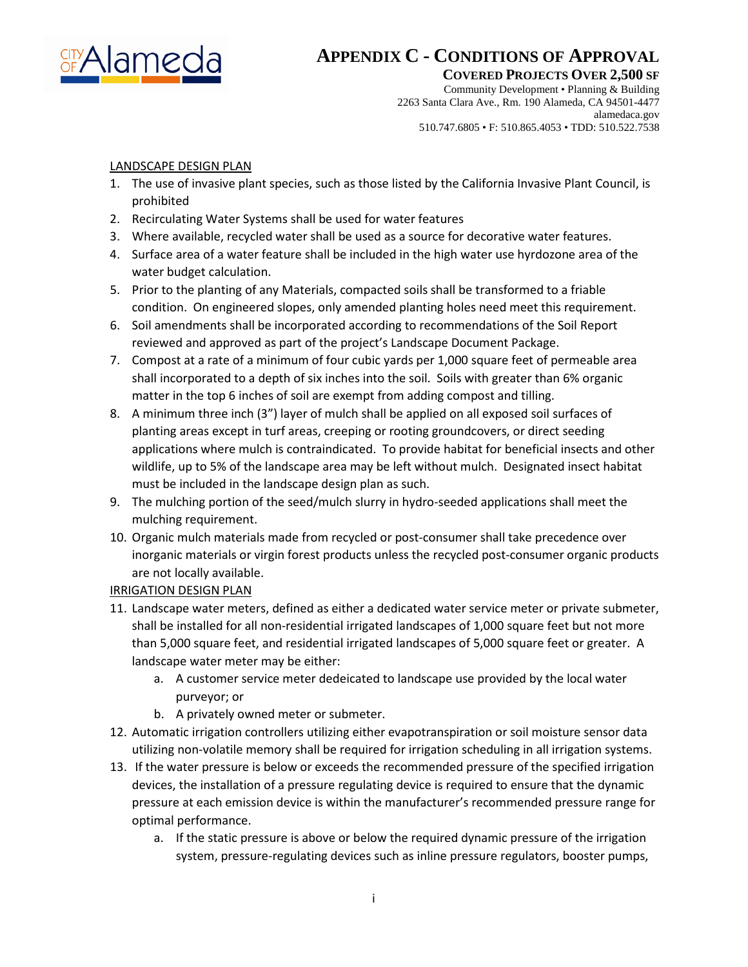

**COVERED PROJECTS OVER 2,500 SF** 

Community Development • Planning & Building 2263 Santa Clara Ave., Rm. 190 Alameda, CA 94501-4477 alamedaca.gov 510.747.6805 • F: 510.865.4053 • TDD: 510.522.7538

### LANDSCAPE DESIGN PLAN

- 1. The use of invasive plant species, such as those listed by the California Invasive Plant Council, is prohibited
- 2. Recirculating Water Systems shall be used for water features
- 3. Where available, recycled water shall be used as a source for decorative water features.
- 4. Surface area of a water feature shall be included in the high water use hyrdozone area of the water budget calculation.
- 5. Prior to the planting of any Materials, compacted soils shall be transformed to a friable condition. On engineered slopes, only amended planting holes need meet this requirement.
- 6. Soil amendments shall be incorporated according to recommendations of the Soil Report reviewed and approved as part of the project's Landscape Document Package.
- 7. Compost at a rate of a minimum of four cubic yards per 1,000 square feet of permeable area shall incorporated to a depth of six inches into the soil. Soils with greater than 6% organic matter in the top 6 inches of soil are exempt from adding compost and tilling.
- 8. A minimum three inch (3") layer of mulch shall be applied on all exposed soil surfaces of planting areas except in turf areas, creeping or rooting groundcovers, or direct seeding applications where mulch is contraindicated. To provide habitat for beneficial insects and other wildlife, up to 5% of the landscape area may be left without mulch. Designated insect habitat must be included in the landscape design plan as such.
- 9. The mulching portion of the seed/mulch slurry in hydro-seeded applications shall meet the mulching requirement.
- 10. Organic mulch materials made from recycled or post-consumer shall take precedence over inorganic materials or virgin forest products unless the recycled post-consumer organic products are not locally available.

### IRRIGATION DESIGN PLAN

- 11. Landscape water meters, defined as either a dedicated water service meter or private submeter, shall be installed for all non-residential irrigated landscapes of 1,000 square feet but not more than 5,000 square feet, and residential irrigated landscapes of 5,000 square feet or greater. A landscape water meter may be either:
	- a. A customer service meter dedeicated to landscape use provided by the local water purveyor; or
	- b. A privately owned meter or submeter.
- 12. Automatic irrigation controllers utilizing either evapotranspiration or soil moisture sensor data utilizing non-volatile memory shall be required for irrigation scheduling in all irrigation systems.
- 13. If the water pressure is below or exceeds the recommended pressure of the specified irrigation devices, the installation of a pressure regulating device is required to ensure that the dynamic pressure at each emission device is within the manufacturer's recommended pressure range for optimal performance.
	- a. If the static pressure is above or below the required dynamic pressure of the irrigation system, pressure-regulating devices such as inline pressure regulators, booster pumps,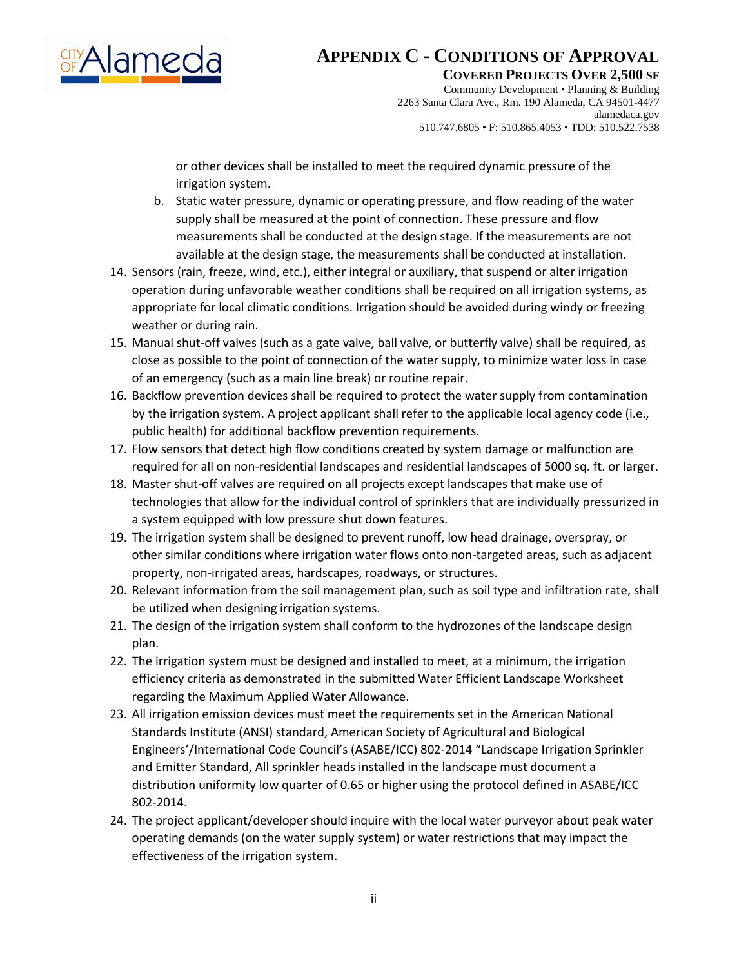

**COVERED PROJECTS OVER 2,500 SF** 

Community Development • Planning & Building 2263 Santa Clara Ave., Rm. 190 Alameda, CA 94501-4477 alamedaca.gov 510.747.6805 • F: 510.865.4053 • TDD: 510.522.7538

or other devices shall be installed to meet the required dynamic pressure of the irrigation system.

- b. Static water pressure, dynamic or operating pressure, and flow reading of the water supply shall be measured at the point of connection. These pressure and flow measurements shall be conducted at the design stage. If the measurements are not available at the design stage, the measurements shall be conducted at installation.
- 14. Sensors (rain, freeze, wind, etc.), either integral or auxiliary, that suspend or alter irrigation operation during unfavorable weather conditions shall be required on all irrigation systems, as appropriate for local climatic conditions. Irrigation should be avoided during windy or freezing weather or during rain.
- 15. Manual shut-off valves (such as a gate valve, ball valve, or butterfly valve) shall be required, as close as possible to the point of connection of the water supply, to minimize water loss in case of an emergency (such as a main line break) or routine repair.
- 16. Backflow prevention devices shall be required to protect the water supply from contamination by the irrigation system. A project applicant shall refer to the applicable local agency code (i.e., public health) for additional backflow prevention requirements.
- 17. Flow sensors that detect high flow conditions created by system damage or malfunction are required for all on non-residential landscapes and residential landscapes of 5000 sq. ft. or larger.
- 18. Master shut-off valves are required on all projects except landscapes that make use of technologies that allow for the individual control of sprinklers that are individually pressurized in a system equipped with low pressure shut down features.
- 19. The irrigation system shall be designed to prevent runoff, low head drainage, overspray, or other similar conditions where irrigation water flows onto non-targeted areas, such as adjacent property, non-irrigated areas, hardscapes, roadways, or structures.
- 20. Relevant information from the soil management plan, such as soil type and infiltration rate, shall be utilized when designing irrigation systems.
- 21. The design of the irrigation system shall conform to the hydrozones of the landscape design plan.
- 22. The irrigation system must be designed and installed to meet, at a minimum, the irrigation efficiency criteria as demonstrated in the submitted Water Efficient Landscape Worksheet regarding the Maximum Applied Water Allowance.
- 23. All irrigation emission devices must meet the requirements set in the American National Standards Institute (ANSI) standard, American Society of Agricultural and Biological Engineers'/International Code Council's (ASABE/ICC) 802-2014 "Landscape Irrigation Sprinkler and Emitter Standard, All sprinkler heads installed in the landscape must document a distribution uniformity low quarter of 0.65 or higher using the protocol defined in ASABE/ICC 802-2014.
- 24. The project applicant/developer should inquire with the local water purveyor about peak water operating demands (on the water supply system) or water restrictions that may impact the effectiveness of the irrigation system.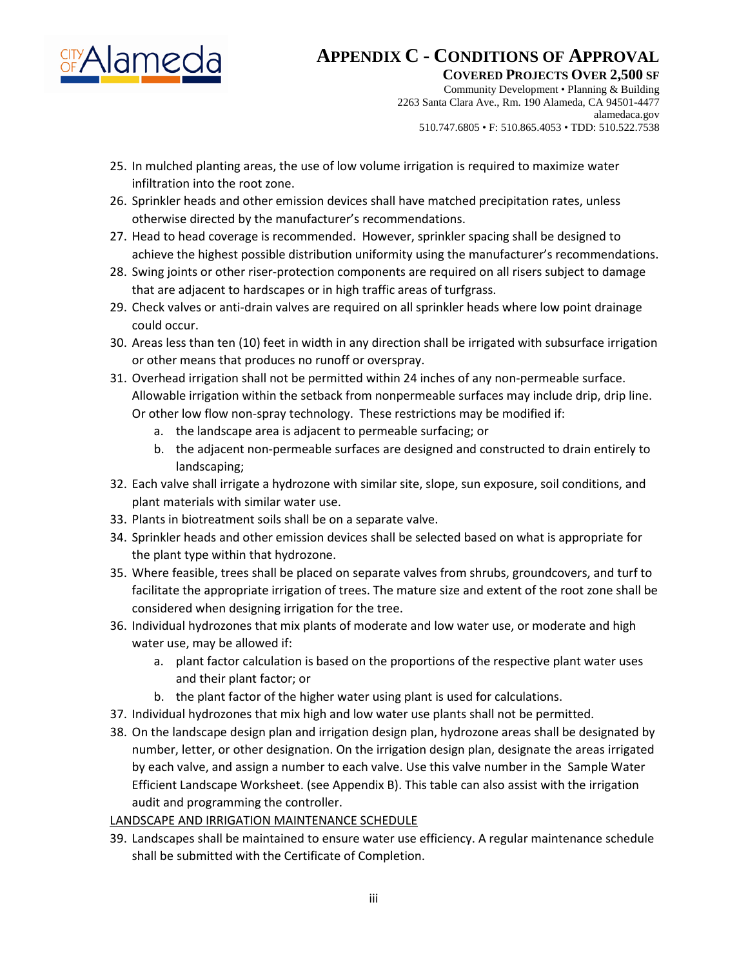

**COVERED PROJECTS OVER 2,500 SF** 

Community Development • Planning & Building 2263 Santa Clara Ave., Rm. 190 Alameda, CA 94501-4477 alamedaca.gov 510.747.6805 • F: 510.865.4053 • TDD: 510.522.7538

- 25. In mulched planting areas, the use of low volume irrigation is required to maximize water infiltration into the root zone.
- 26. Sprinkler heads and other emission devices shall have matched precipitation rates, unless otherwise directed by the manufacturer's recommendations.
- 27. Head to head coverage is recommended. However, sprinkler spacing shall be designed to achieve the highest possible distribution uniformity using the manufacturer's recommendations.
- 28. Swing joints or other riser-protection components are required on all risers subject to damage that are adjacent to hardscapes or in high traffic areas of turfgrass.
- 29. Check valves or anti-drain valves are required on all sprinkler heads where low point drainage could occur.
- 30. Areas less than ten (10) feet in width in any direction shall be irrigated with subsurface irrigation or other means that produces no runoff or overspray.
- 31. Overhead irrigation shall not be permitted within 24 inches of any non-permeable surface. Allowable irrigation within the setback from nonpermeable surfaces may include drip, drip line. Or other low flow non-spray technology. These restrictions may be modified if:
	- a. the landscape area is adjacent to permeable surfacing; or
	- b. the adjacent non-permeable surfaces are designed and constructed to drain entirely to landscaping;
- 32. Each valve shall irrigate a hydrozone with similar site, slope, sun exposure, soil conditions, and plant materials with similar water use.
- 33. Plants in biotreatment soils shall be on a separate valve.
- 34. Sprinkler heads and other emission devices shall be selected based on what is appropriate for the plant type within that hydrozone.
- 35. Where feasible, trees shall be placed on separate valves from shrubs, groundcovers, and turf to facilitate the appropriate irrigation of trees. The mature size and extent of the root zone shall be considered when designing irrigation for the tree.
- 36. Individual hydrozones that mix plants of moderate and low water use, or moderate and high water use, may be allowed if:
	- a. plant factor calculation is based on the proportions of the respective plant water uses and their plant factor; or
	- b. the plant factor of the higher water using plant is used for calculations.
- 37. Individual hydrozones that mix high and low water use plants shall not be permitted.
- 38. On the landscape design plan and irrigation design plan, hydrozone areas shall be designated by number, letter, or other designation. On the irrigation design plan, designate the areas irrigated by each valve, and assign a number to each valve. Use this valve number in the Sample Water Efficient Landscape Worksheet. (see Appendix B). This table can also assist with the irrigation audit and programming the controller.

### LANDSCAPE AND IRRIGATION MAINTENANCE SCHEDULE

39. Landscapes shall be maintained to ensure water use efficiency. A regular maintenance schedule shall be submitted with the Certificate of Completion.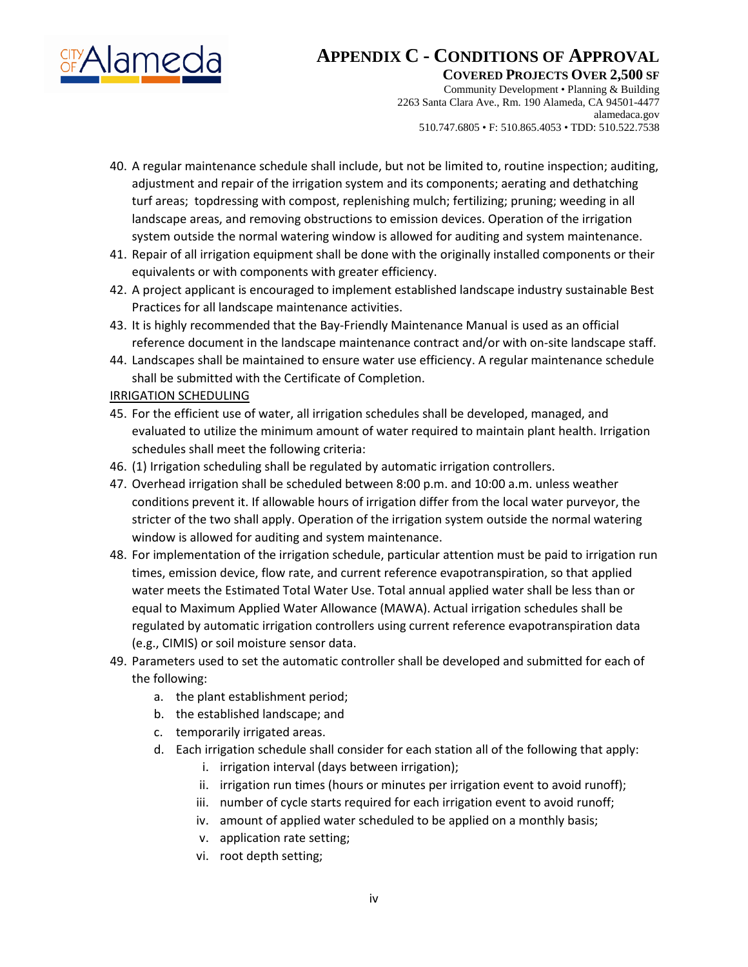

**COVERED PROJECTS OVER 2,500 SF** 

Community Development • Planning & Building 2263 Santa Clara Ave., Rm. 190 Alameda, CA 94501-4477 alamedaca.gov 510.747.6805 • F: 510.865.4053 • TDD: 510.522.7538

- 40. A regular maintenance schedule shall include, but not be limited to, routine inspection; auditing, adjustment and repair of the irrigation system and its components; aerating and dethatching turf areas; topdressing with compost, replenishing mulch; fertilizing; pruning; weeding in all landscape areas, and removing obstructions to emission devices. Operation of the irrigation system outside the normal watering window is allowed for auditing and system maintenance.
- 41. Repair of all irrigation equipment shall be done with the originally installed components or their equivalents or with components with greater efficiency.
- 42. A project applicant is encouraged to implement established landscape industry sustainable Best Practices for all landscape maintenance activities.
- 43. It is highly recommended that the Bay-Friendly Maintenance Manual is used as an official reference document in the landscape maintenance contract and/or with on-site landscape staff.
- 44. Landscapes shall be maintained to ensure water use efficiency. A regular maintenance schedule shall be submitted with the Certificate of Completion.

### IRRIGATION SCHEDULING

- 45. For the efficient use of water, all irrigation schedules shall be developed, managed, and evaluated to utilize the minimum amount of water required to maintain plant health. Irrigation schedules shall meet the following criteria:
- 46. (1) Irrigation scheduling shall be regulated by automatic irrigation controllers.
- 47. Overhead irrigation shall be scheduled between 8:00 p.m. and 10:00 a.m. unless weather conditions prevent it. If allowable hours of irrigation differ from the local water purveyor, the stricter of the two shall apply. Operation of the irrigation system outside the normal watering window is allowed for auditing and system maintenance.
- 48. For implementation of the irrigation schedule, particular attention must be paid to irrigation run times, emission device, flow rate, and current reference evapotranspiration, so that applied water meets the Estimated Total Water Use. Total annual applied water shall be less than or equal to Maximum Applied Water Allowance (MAWA). Actual irrigation schedules shall be regulated by automatic irrigation controllers using current reference evapotranspiration data (e.g., CIMIS) or soil moisture sensor data.
- 49. Parameters used to set the automatic controller shall be developed and submitted for each of the following:
	- a. the plant establishment period;
	- b. the established landscape; and
	- c. temporarily irrigated areas.
	- d. Each irrigation schedule shall consider for each station all of the following that apply:
		- i. irrigation interval (days between irrigation);
		- ii. irrigation run times (hours or minutes per irrigation event to avoid runoff);
		- iii. number of cycle starts required for each irrigation event to avoid runoff;
		- iv. amount of applied water scheduled to be applied on a monthly basis;
		- v. application rate setting;
		- vi. root depth setting;